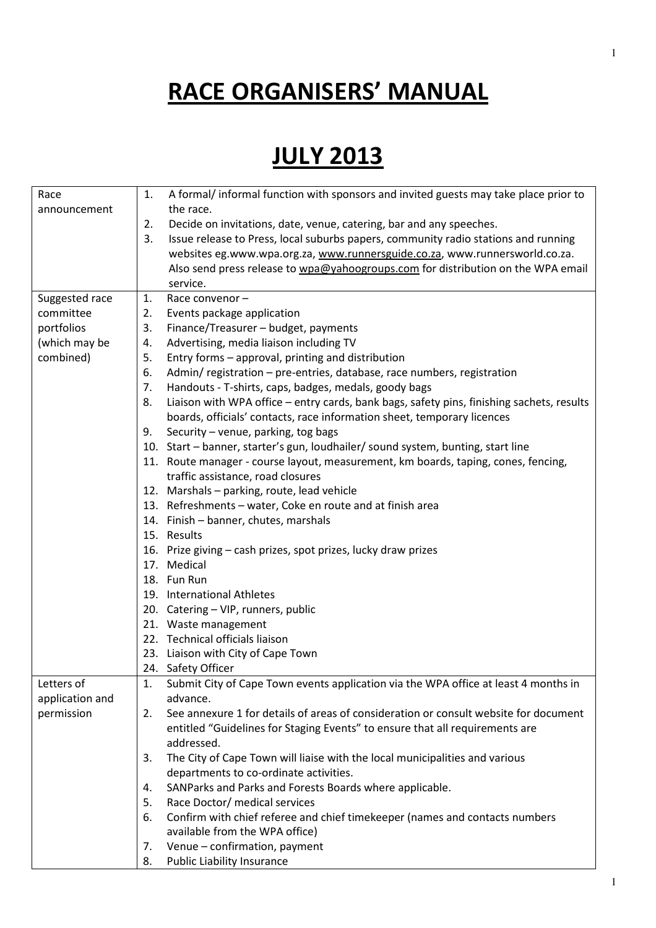## RACE ORGANISERS' MANUAL

## **JULY 2013**

| Race            | A formal/ informal function with sponsors and invited guests may take place prior to<br>1.                          |
|-----------------|---------------------------------------------------------------------------------------------------------------------|
| announcement    | the race.                                                                                                           |
|                 | Decide on invitations, date, venue, catering, bar and any speeches.<br>2.                                           |
|                 | Issue release to Press, local suburbs papers, community radio stations and running<br>3.                            |
|                 | websites eg.www.wpa.org.za, www.runnersguide.co.za, www.runnersworld.co.za.                                         |
|                 | Also send press release to wpa@yahoogroups.com for distribution on the WPA email                                    |
|                 | service.                                                                                                            |
| Suggested race  | Race convenor-<br>1.                                                                                                |
| committee       | Events package application<br>2.                                                                                    |
| portfolios      | 3.<br>Finance/Treasurer - budget, payments                                                                          |
| (which may be   | Advertising, media liaison including TV<br>4.                                                                       |
| combined)       | Entry forms - approval, printing and distribution<br>5.                                                             |
|                 | Admin/registration - pre-entries, database, race numbers, registration<br>6.                                        |
|                 | Handouts - T-shirts, caps, badges, medals, goody bags<br>7.                                                         |
|                 | Liaison with WPA office - entry cards, bank bags, safety pins, finishing sachets, results<br>8.                     |
|                 | boards, officials' contacts, race information sheet, temporary licences                                             |
|                 | Security - venue, parking, tog bags<br>9.                                                                           |
|                 | 10. Start - banner, starter's gun, loudhailer/ sound system, bunting, start line                                    |
|                 | 11. Route manager - course layout, measurement, km boards, taping, cones, fencing,                                  |
|                 | traffic assistance, road closures                                                                                   |
|                 | 12. Marshals - parking, route, lead vehicle                                                                         |
|                 | 13. Refreshments - water, Coke en route and at finish area                                                          |
|                 | 14. Finish - banner, chutes, marshals                                                                               |
|                 | 15. Results                                                                                                         |
|                 | 16. Prize giving - cash prizes, spot prizes, lucky draw prizes                                                      |
|                 | 17. Medical                                                                                                         |
|                 | 18. Fun Run                                                                                                         |
|                 | 19. International Athletes                                                                                          |
|                 | 20. Catering - VIP, runners, public                                                                                 |
|                 | 21. Waste management                                                                                                |
|                 | 22. Technical officials liaison                                                                                     |
|                 | 23. Liaison with City of Cape Town                                                                                  |
|                 | 24. Safety Officer                                                                                                  |
| Letters of      | Submit City of Cape Town events application via the WPA office at least 4 months in<br>1.                           |
| application and | advance.                                                                                                            |
| permission      | See annexure 1 for details of areas of consideration or consult website for document<br>2.                          |
|                 | entitled "Guidelines for Staging Events" to ensure that all requirements are                                        |
|                 | addressed.                                                                                                          |
|                 | The City of Cape Town will liaise with the local municipalities and various<br>3.                                   |
|                 | departments to co-ordinate activities.                                                                              |
|                 | SANParks and Parks and Forests Boards where applicable.<br>4.                                                       |
|                 | Race Doctor/ medical services<br>5.                                                                                 |
|                 | Confirm with chief referee and chief timekeeper (names and contacts numbers<br>6.<br>available from the WPA office) |
|                 | Venue - confirmation, payment<br>7.                                                                                 |
|                 | 8.                                                                                                                  |
|                 | Public Liability Insurance                                                                                          |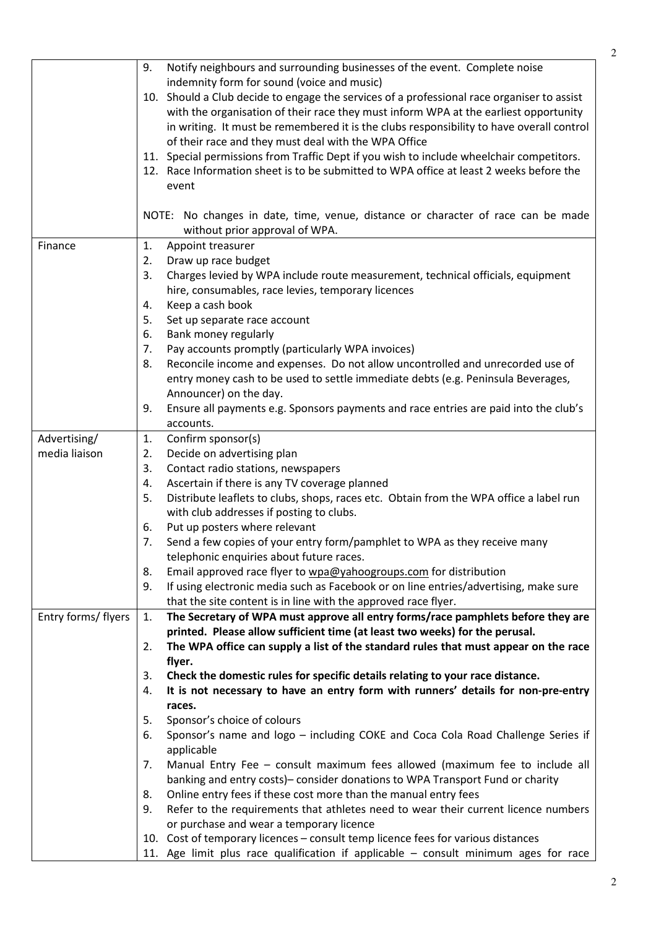2

|                     | indemnity form for sound (voice and music)                                                   |
|---------------------|----------------------------------------------------------------------------------------------|
|                     | 10. Should a Club decide to engage the services of a professional race organiser to assist   |
|                     | with the organisation of their race they must inform WPA at the earliest opportunity         |
|                     | in writing. It must be remembered it is the clubs responsibility to have overall control     |
|                     | of their race and they must deal with the WPA Office                                         |
|                     | 11. Special permissions from Traffic Dept if you wish to include wheelchair competitors.     |
|                     | 12. Race Information sheet is to be submitted to WPA office at least 2 weeks before the      |
|                     | event                                                                                        |
|                     |                                                                                              |
|                     | NOTE: No changes in date, time, venue, distance or character of race can be made             |
|                     | without prior approval of WPA.                                                               |
| Finance             | Appoint treasurer<br>1.                                                                      |
|                     | Draw up race budget<br>2.                                                                    |
|                     | Charges levied by WPA include route measurement, technical officials, equipment<br>3.        |
|                     | hire, consumables, race levies, temporary licences                                           |
|                     | Keep a cash book<br>4.                                                                       |
|                     | Set up separate race account<br>5.                                                           |
|                     | Bank money regularly<br>6.                                                                   |
|                     | Pay accounts promptly (particularly WPA invoices)<br>7.                                      |
|                     | Reconcile income and expenses. Do not allow uncontrolled and unrecorded use of<br>8.         |
|                     | entry money cash to be used to settle immediate debts (e.g. Peninsula Beverages,             |
|                     | Announcer) on the day.                                                                       |
|                     | Ensure all payments e.g. Sponsors payments and race entries are paid into the club's<br>9.   |
|                     | accounts.                                                                                    |
| Advertising/        | Confirm sponsor(s)<br>1.                                                                     |
| media liaison       | Decide on advertising plan<br>2.                                                             |
|                     | Contact radio stations, newspapers<br>3.                                                     |
|                     | Ascertain if there is any TV coverage planned<br>4.                                          |
|                     | Distribute leaflets to clubs, shops, races etc. Obtain from the WPA office a label run<br>5. |
|                     | with club addresses if posting to clubs.                                                     |
|                     | Put up posters where relevant<br>6.                                                          |
|                     | Send a few copies of your entry form/pamphlet to WPA as they receive many<br>7.              |
|                     | telephonic enquiries about future races.                                                     |
|                     | 8.<br>Email approved race flyer to wpa@yahoogroups.com for distribution                      |
|                     | If using electronic media such as Facebook or on line entries/advertising, make sure<br>9.   |
|                     | that the site content is in line with the approved race flyer.                               |
| Entry forms/ flyers | The Secretary of WPA must approve all entry forms/race pamphlets before they are<br>1.       |
|                     | printed. Please allow sufficient time (at least two weeks) for the perusal.                  |
|                     | The WPA office can supply a list of the standard rules that must appear on the race<br>2.    |
|                     | flyer.                                                                                       |
|                     | Check the domestic rules for specific details relating to your race distance.<br>3.          |
|                     | It is not necessary to have an entry form with runners' details for non-pre-entry<br>4.      |
|                     | races.                                                                                       |
|                     | Sponsor's choice of colours<br>5.                                                            |
|                     | Sponsor's name and logo - including COKE and Coca Cola Road Challenge Series if<br>6.        |
|                     | applicable                                                                                   |
|                     | Manual Entry Fee - consult maximum fees allowed (maximum fee to include all<br>7.            |
|                     | banking and entry costs)- consider donations to WPA Transport Fund or charity                |
|                     | Online entry fees if these cost more than the manual entry fees<br>8.                        |
|                     | Refer to the requirements that athletes need to wear their current licence numbers<br>9.     |
|                     | or purchase and wear a temporary licence                                                     |
|                     | 10. Cost of temporary licences - consult temp licence fees for various distances             |
|                     | 11. Age limit plus race qualification if applicable - consult minimum ages for race          |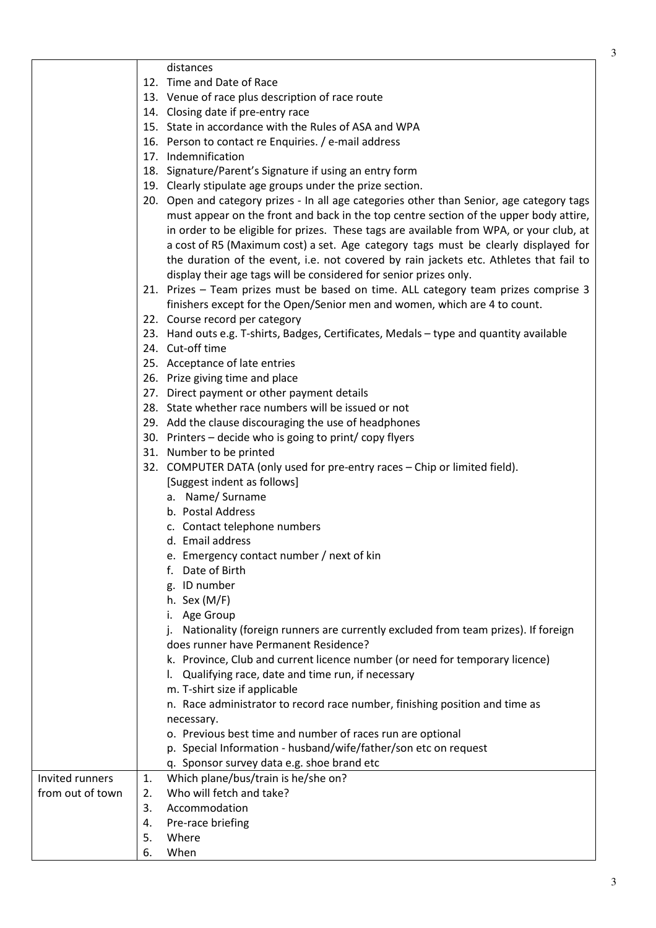|                  | distances                                            |                                                                                                                                                                                                                                                                                                                                                                                                                                                                                                                                    |
|------------------|------------------------------------------------------|------------------------------------------------------------------------------------------------------------------------------------------------------------------------------------------------------------------------------------------------------------------------------------------------------------------------------------------------------------------------------------------------------------------------------------------------------------------------------------------------------------------------------------|
|                  | 12. Time and Date of Race                            |                                                                                                                                                                                                                                                                                                                                                                                                                                                                                                                                    |
|                  | 13. Venue of race plus description of race route     |                                                                                                                                                                                                                                                                                                                                                                                                                                                                                                                                    |
|                  | 14. Closing date if pre-entry race                   |                                                                                                                                                                                                                                                                                                                                                                                                                                                                                                                                    |
|                  |                                                      | 15. State in accordance with the Rules of ASA and WPA                                                                                                                                                                                                                                                                                                                                                                                                                                                                              |
|                  | 16. Person to contact re Enquiries. / e-mail address |                                                                                                                                                                                                                                                                                                                                                                                                                                                                                                                                    |
|                  | 17. Indemnification                                  |                                                                                                                                                                                                                                                                                                                                                                                                                                                                                                                                    |
|                  |                                                      | 18. Signature/Parent's Signature if using an entry form                                                                                                                                                                                                                                                                                                                                                                                                                                                                            |
|                  |                                                      | 19. Clearly stipulate age groups under the prize section.                                                                                                                                                                                                                                                                                                                                                                                                                                                                          |
|                  |                                                      | 20. Open and category prizes - In all age categories other than Senior, age category tags<br>must appear on the front and back in the top centre section of the upper body attire,<br>in order to be eligible for prizes. These tags are available from WPA, or your club, at<br>a cost of R5 (Maximum cost) a set. Age category tags must be clearly displayed for<br>the duration of the event, i.e. not covered by rain jackets etc. Athletes that fail to<br>display their age tags will be considered for senior prizes only. |
|                  |                                                      | 21. Prizes - Team prizes must be based on time. ALL category team prizes comprise 3                                                                                                                                                                                                                                                                                                                                                                                                                                                |
|                  |                                                      | finishers except for the Open/Senior men and women, which are 4 to count.                                                                                                                                                                                                                                                                                                                                                                                                                                                          |
|                  | 22. Course record per category                       |                                                                                                                                                                                                                                                                                                                                                                                                                                                                                                                                    |
|                  |                                                      | 23. Hand outs e.g. T-shirts, Badges, Certificates, Medals - type and quantity available                                                                                                                                                                                                                                                                                                                                                                                                                                            |
|                  | 24. Cut-off time                                     |                                                                                                                                                                                                                                                                                                                                                                                                                                                                                                                                    |
|                  | 25. Acceptance of late entries                       |                                                                                                                                                                                                                                                                                                                                                                                                                                                                                                                                    |
|                  | 26. Prize giving time and place                      |                                                                                                                                                                                                                                                                                                                                                                                                                                                                                                                                    |
|                  | 27. Direct payment or other payment details          |                                                                                                                                                                                                                                                                                                                                                                                                                                                                                                                                    |
|                  | 28. State whether race numbers will be issued or not |                                                                                                                                                                                                                                                                                                                                                                                                                                                                                                                                    |
|                  |                                                      | 29. Add the clause discouraging the use of headphones                                                                                                                                                                                                                                                                                                                                                                                                                                                                              |
|                  |                                                      | 30. Printers - decide who is going to print/copy flyers                                                                                                                                                                                                                                                                                                                                                                                                                                                                            |
|                  | 31. Number to be printed                             |                                                                                                                                                                                                                                                                                                                                                                                                                                                                                                                                    |
|                  |                                                      | 32. COMPUTER DATA (only used for pre-entry races - Chip or limited field).                                                                                                                                                                                                                                                                                                                                                                                                                                                         |
|                  | [Suggest indent as follows]                          |                                                                                                                                                                                                                                                                                                                                                                                                                                                                                                                                    |
|                  | a. Name/Surname                                      |                                                                                                                                                                                                                                                                                                                                                                                                                                                                                                                                    |
|                  | b. Postal Address                                    |                                                                                                                                                                                                                                                                                                                                                                                                                                                                                                                                    |
|                  | c. Contact telephone numbers                         |                                                                                                                                                                                                                                                                                                                                                                                                                                                                                                                                    |
|                  | d. Email address                                     |                                                                                                                                                                                                                                                                                                                                                                                                                                                                                                                                    |
|                  | e. Emergency contact number / next of kin            |                                                                                                                                                                                                                                                                                                                                                                                                                                                                                                                                    |
|                  | Date of Birth<br>t.                                  |                                                                                                                                                                                                                                                                                                                                                                                                                                                                                                                                    |
|                  | g. ID number                                         |                                                                                                                                                                                                                                                                                                                                                                                                                                                                                                                                    |
|                  | h. Sex $(M/F)$                                       |                                                                                                                                                                                                                                                                                                                                                                                                                                                                                                                                    |
|                  | Age Group                                            |                                                                                                                                                                                                                                                                                                                                                                                                                                                                                                                                    |
|                  | does runner have Permanent Residence?                | Nationality (foreign runners are currently excluded from team prizes). If foreign                                                                                                                                                                                                                                                                                                                                                                                                                                                  |
|                  |                                                      | k. Province, Club and current licence number (or need for temporary licence)                                                                                                                                                                                                                                                                                                                                                                                                                                                       |
|                  |                                                      | Qualifying race, date and time run, if necessary                                                                                                                                                                                                                                                                                                                                                                                                                                                                                   |
|                  | m. T-shirt size if applicable                        |                                                                                                                                                                                                                                                                                                                                                                                                                                                                                                                                    |
|                  |                                                      | n. Race administrator to record race number, finishing position and time as                                                                                                                                                                                                                                                                                                                                                                                                                                                        |
|                  | necessary.                                           |                                                                                                                                                                                                                                                                                                                                                                                                                                                                                                                                    |
|                  |                                                      | o. Previous best time and number of races run are optional                                                                                                                                                                                                                                                                                                                                                                                                                                                                         |
|                  |                                                      | p. Special Information - husband/wife/father/son etc on request                                                                                                                                                                                                                                                                                                                                                                                                                                                                    |
|                  | q. Sponsor survey data e.g. shoe brand etc           |                                                                                                                                                                                                                                                                                                                                                                                                                                                                                                                                    |
| Invited runners  | Which plane/bus/train is he/she on?<br>1.            |                                                                                                                                                                                                                                                                                                                                                                                                                                                                                                                                    |
| from out of town | Who will fetch and take?<br>2.                       |                                                                                                                                                                                                                                                                                                                                                                                                                                                                                                                                    |
|                  | 3.<br>Accommodation                                  |                                                                                                                                                                                                                                                                                                                                                                                                                                                                                                                                    |
|                  | Pre-race briefing<br>4.                              |                                                                                                                                                                                                                                                                                                                                                                                                                                                                                                                                    |
|                  | 5.<br>Where                                          |                                                                                                                                                                                                                                                                                                                                                                                                                                                                                                                                    |
|                  | When<br>6.                                           |                                                                                                                                                                                                                                                                                                                                                                                                                                                                                                                                    |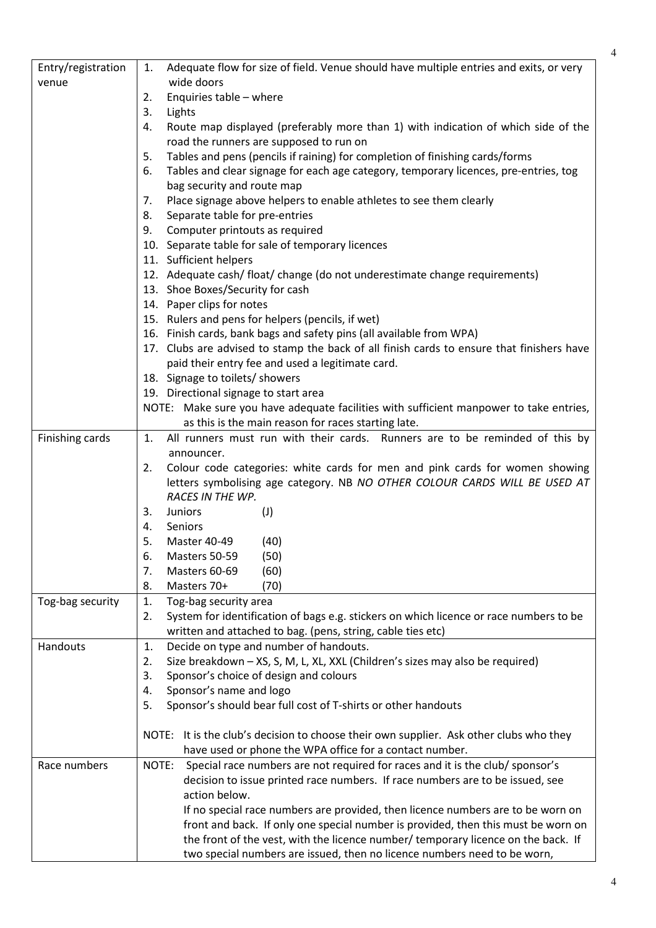| Entry/registration | Adequate flow for size of field. Venue should have multiple entries and exits, or very<br>1.                                                  |
|--------------------|-----------------------------------------------------------------------------------------------------------------------------------------------|
| venue              | wide doors                                                                                                                                    |
|                    | Enquiries table - where<br>2.                                                                                                                 |
|                    | 3.<br>Lights                                                                                                                                  |
|                    | Route map displayed (preferably more than 1) with indication of which side of the<br>4.                                                       |
|                    | road the runners are supposed to run on                                                                                                       |
|                    | Tables and pens (pencils if raining) for completion of finishing cards/forms<br>5.                                                            |
|                    | Tables and clear signage for each age category, temporary licences, pre-entries, tog<br>6.<br>bag security and route map                      |
|                    | Place signage above helpers to enable athletes to see them clearly                                                                            |
|                    | 7.                                                                                                                                            |
|                    | Separate table for pre-entries<br>8.<br>9.                                                                                                    |
|                    | Computer printouts as required                                                                                                                |
|                    | 10. Separate table for sale of temporary licences                                                                                             |
|                    | 11. Sufficient helpers                                                                                                                        |
|                    | 12. Adequate cash/ float/ change (do not underestimate change requirements)                                                                   |
|                    | 13. Shoe Boxes/Security for cash                                                                                                              |
|                    | 14. Paper clips for notes                                                                                                                     |
|                    | 15. Rulers and pens for helpers (pencils, if wet)                                                                                             |
|                    | 16. Finish cards, bank bags and safety pins (all available from WPA)                                                                          |
|                    | 17. Clubs are advised to stamp the back of all finish cards to ensure that finishers have                                                     |
|                    | paid their entry fee and used a legitimate card.                                                                                              |
|                    | 18. Signage to toilets/ showers                                                                                                               |
|                    | 19. Directional signage to start area                                                                                                         |
|                    | NOTE: Make sure you have adequate facilities with sufficient manpower to take entries,<br>as this is the main reason for races starting late. |
|                    | $\mathbf{1}$ .<br>All runners must run with their cards. Runners are to be reminded of this by                                                |
| Finishing cards    | announcer.                                                                                                                                    |
|                    | Colour code categories: white cards for men and pink cards for women showing<br>2.                                                            |
|                    | letters symbolising age category. NB NO OTHER COLOUR CARDS WILL BE USED AT                                                                    |
|                    | RACES IN THE WP.                                                                                                                              |
|                    | Juniors<br>(1)<br>3.                                                                                                                          |
|                    | Seniors<br>4.                                                                                                                                 |
|                    | 5.<br>Master 40-49<br>(40)                                                                                                                    |
|                    | 6.<br>(50)<br>Masters 50-59                                                                                                                   |
|                    | 7.<br>Masters 60-69<br>(60)                                                                                                                   |
|                    | (70)<br>8.<br>Masters 70+                                                                                                                     |
| Tog-bag security   | Tog-bag security area<br>1.                                                                                                                   |
|                    | System for identification of bags e.g. stickers on which licence or race numbers to be<br>2.                                                  |
|                    | written and attached to bag. (pens, string, cable ties etc)                                                                                   |
| Handouts           | Decide on type and number of handouts.<br>1.                                                                                                  |
|                    | Size breakdown - XS, S, M, L, XL, XXL (Children's sizes may also be required)<br>2.                                                           |
|                    | 3.<br>Sponsor's choice of design and colours                                                                                                  |
|                    | Sponsor's name and logo<br>4.                                                                                                                 |
|                    | Sponsor's should bear full cost of T-shirts or other handouts<br>5.                                                                           |
|                    |                                                                                                                                               |
|                    | NOTE: It is the club's decision to choose their own supplier. Ask other clubs who they                                                        |
|                    | have used or phone the WPA office for a contact number.                                                                                       |
| Race numbers       | Special race numbers are not required for races and it is the club/ sponsor's<br>NOTE:                                                        |
|                    | decision to issue printed race numbers. If race numbers are to be issued, see                                                                 |
|                    | action below.                                                                                                                                 |
|                    | If no special race numbers are provided, then licence numbers are to be worn on                                                               |
|                    | front and back. If only one special number is provided, then this must be worn on                                                             |
|                    | the front of the vest, with the licence number/ temporary licence on the back. If                                                             |
|                    | two special numbers are issued, then no licence numbers need to be worn,                                                                      |

Π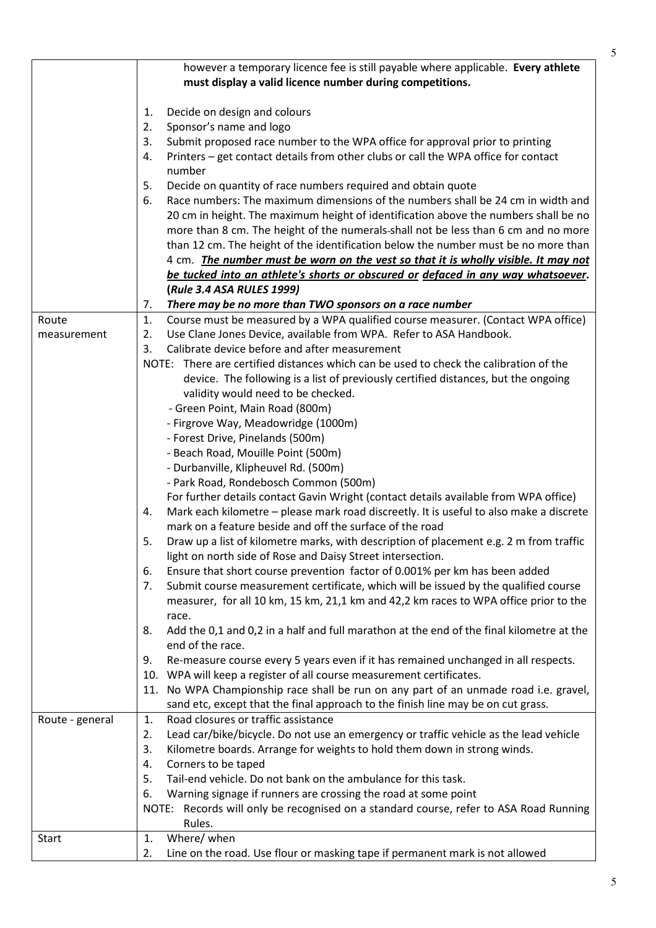|                 | however a temporary licence fee is still payable where applicable. Every athlete                            |
|-----------------|-------------------------------------------------------------------------------------------------------------|
|                 | must display a valid licence number during competitions.                                                    |
|                 |                                                                                                             |
|                 | Decide on design and colours<br>1.<br>Sponsor's name and logo                                               |
|                 | 2.<br>3.                                                                                                    |
|                 | Submit proposed race number to the WPA office for approval prior to printing                                |
|                 | Printers - get contact details from other clubs or call the WPA office for contact<br>4.<br>number          |
|                 | Decide on quantity of race numbers required and obtain quote                                                |
|                 | 5.<br>Race numbers: The maximum dimensions of the numbers shall be 24 cm in width and<br>6.                 |
|                 | 20 cm in height. The maximum height of identification above the numbers shall be no                         |
|                 | more than 8 cm. The height of the numerals-shall not be less than 6 cm and no more                          |
|                 | than 12 cm. The height of the identification below the number must be no more than                          |
|                 | 4 cm. The number must be worn on the vest so that it is wholly visible. It may not                          |
|                 | be tucked into an athlete's shorts or obscured or defaced in any way whatsoever.                            |
|                 | (Rule 3.4 ASA RULES 1999)                                                                                   |
|                 | There may be no more than TWO sponsors on a race number<br>7.                                               |
| Route           | Course must be measured by a WPA qualified course measurer. (Contact WPA office)<br>1.                      |
| measurement     | Use Clane Jones Device, available from WPA. Refer to ASA Handbook.<br>2.                                    |
|                 | Calibrate device before and after measurement<br>3.                                                         |
|                 | NOTE: There are certified distances which can be used to check the calibration of the                       |
|                 | device. The following is a list of previously certified distances, but the ongoing                          |
|                 | validity would need to be checked.                                                                          |
|                 | - Green Point, Main Road (800m)                                                                             |
|                 | - Firgrove Way, Meadowridge (1000m)                                                                         |
|                 | - Forest Drive, Pinelands (500m)                                                                            |
|                 | - Beach Road, Mouille Point (500m)                                                                          |
|                 | - Durbanville, Klipheuvel Rd. (500m)                                                                        |
|                 | - Park Road, Rondebosch Common (500m)                                                                       |
|                 | For further details contact Gavin Wright (contact details available from WPA office)                        |
|                 | Mark each kilometre - please mark road discreetly. It is useful to also make a discrete<br>4.               |
|                 | mark on a feature beside and off the surface of the road                                                    |
|                 | 5.<br>Draw up a list of kilometre marks, with description of placement e.g. 2 m from traffic                |
|                 | light on north side of Rose and Daisy Street intersection.                                                  |
|                 | Ensure that short course prevention factor of 0.001% per km has been added<br>6.                            |
|                 | Submit course measurement certificate, which will be issued by the qualified course<br>7.                   |
|                 | measurer, for all 10 km, 15 km, 21,1 km and 42,2 km races to WPA office prior to the                        |
|                 | race.                                                                                                       |
|                 | Add the 0,1 and 0,2 in a half and full marathon at the end of the final kilometre at the<br>8.              |
|                 | end of the race.                                                                                            |
|                 | Re-measure course every 5 years even if it has remained unchanged in all respects.<br>9.                    |
|                 | 10. WPA will keep a register of all course measurement certificates.                                        |
|                 | 11. No WPA Championship race shall be run on any part of an unmade road i.e. gravel,                        |
|                 | sand etc, except that the final approach to the finish line may be on cut grass.                            |
| Route - general | Road closures or traffic assistance<br>1.                                                                   |
|                 | Lead car/bike/bicycle. Do not use an emergency or traffic vehicle as the lead vehicle<br>2.                 |
|                 | Kilometre boards. Arrange for weights to hold them down in strong winds.<br>3.<br>Corners to be taped<br>4. |
|                 | Tail-end vehicle. Do not bank on the ambulance for this task.<br>5.                                         |
|                 | Warning signage if runners are crossing the road at some point<br>6.                                        |
|                 | NOTE: Records will only be recognised on a standard course, refer to ASA Road Running                       |
|                 | Rules.                                                                                                      |
| <b>Start</b>    | Where/ when<br>1.                                                                                           |
|                 | Line on the road. Use flour or masking tape if permanent mark is not allowed<br>2.                          |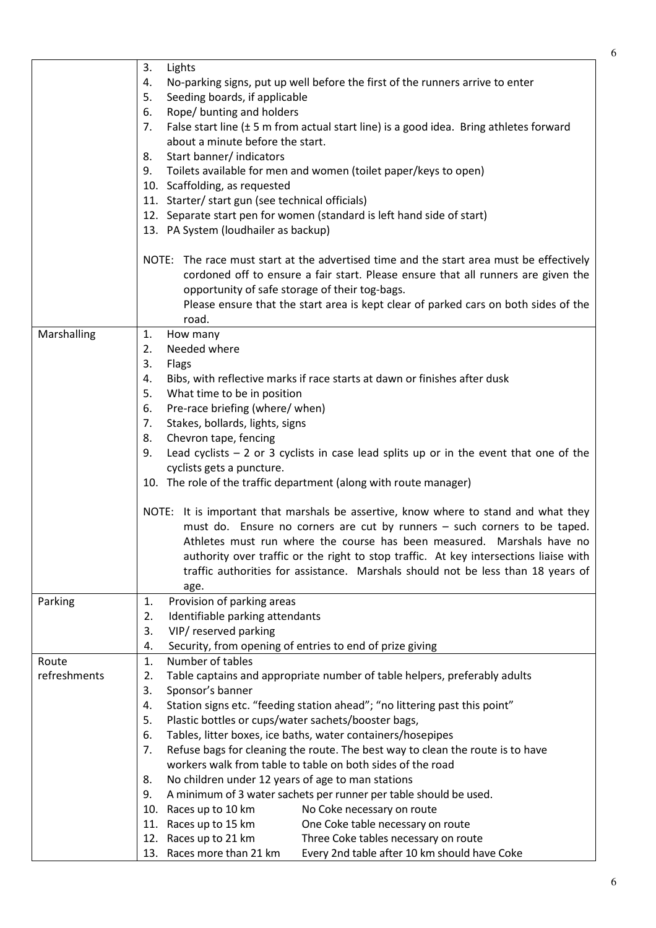| No-parking signs, put up well before the first of the runners arrive to enter<br>4.<br>Seeding boards, if applicable<br>5.<br>Rope/ bunting and holders<br>6.<br>False start line $(\pm 5 \text{ m from actual start line})$ is a good idea. Bring athletes forward<br>7.<br>about a minute before the start.<br>Start banner/ indicators<br>8. |  |
|-------------------------------------------------------------------------------------------------------------------------------------------------------------------------------------------------------------------------------------------------------------------------------------------------------------------------------------------------|--|
|                                                                                                                                                                                                                                                                                                                                                 |  |
|                                                                                                                                                                                                                                                                                                                                                 |  |
|                                                                                                                                                                                                                                                                                                                                                 |  |
|                                                                                                                                                                                                                                                                                                                                                 |  |
|                                                                                                                                                                                                                                                                                                                                                 |  |
|                                                                                                                                                                                                                                                                                                                                                 |  |
| Toilets available for men and women (toilet paper/keys to open)<br>9.                                                                                                                                                                                                                                                                           |  |
| 10. Scaffolding, as requested                                                                                                                                                                                                                                                                                                                   |  |
| 11. Starter/ start gun (see technical officials)                                                                                                                                                                                                                                                                                                |  |
| 12. Separate start pen for women (standard is left hand side of start)                                                                                                                                                                                                                                                                          |  |
| 13. PA System (loudhailer as backup)                                                                                                                                                                                                                                                                                                            |  |
|                                                                                                                                                                                                                                                                                                                                                 |  |
| NOTE: The race must start at the advertised time and the start area must be effectively                                                                                                                                                                                                                                                         |  |
| cordoned off to ensure a fair start. Please ensure that all runners are given the                                                                                                                                                                                                                                                               |  |
| opportunity of safe storage of their tog-bags.                                                                                                                                                                                                                                                                                                  |  |
| Please ensure that the start area is kept clear of parked cars on both sides of the                                                                                                                                                                                                                                                             |  |
| road.                                                                                                                                                                                                                                                                                                                                           |  |
| Marshalling<br>How many<br>1.                                                                                                                                                                                                                                                                                                                   |  |
| Needed where<br>2.                                                                                                                                                                                                                                                                                                                              |  |
| 3.<br>Flags                                                                                                                                                                                                                                                                                                                                     |  |
| Bibs, with reflective marks if race starts at dawn or finishes after dusk<br>4.                                                                                                                                                                                                                                                                 |  |
| What time to be in position<br>5.                                                                                                                                                                                                                                                                                                               |  |
| Pre-race briefing (where/ when)<br>6.                                                                                                                                                                                                                                                                                                           |  |
| Stakes, bollards, lights, signs<br>7.                                                                                                                                                                                                                                                                                                           |  |
| Chevron tape, fencing<br>8.                                                                                                                                                                                                                                                                                                                     |  |
| Lead cyclists $-2$ or 3 cyclists in case lead splits up or in the event that one of the<br>9.                                                                                                                                                                                                                                                   |  |
| cyclists gets a puncture.                                                                                                                                                                                                                                                                                                                       |  |
|                                                                                                                                                                                                                                                                                                                                                 |  |
| 10. The role of the traffic department (along with route manager)                                                                                                                                                                                                                                                                               |  |
|                                                                                                                                                                                                                                                                                                                                                 |  |
| NOTE: It is important that marshals be assertive, know where to stand and what they                                                                                                                                                                                                                                                             |  |
| must do. Ensure no corners are cut by runners - such corners to be taped.                                                                                                                                                                                                                                                                       |  |
| Athletes must run where the course has been measured. Marshals have no                                                                                                                                                                                                                                                                          |  |
| authority over traffic or the right to stop traffic. At key intersections liaise with                                                                                                                                                                                                                                                           |  |
| traffic authorities for assistance. Marshals should not be less than 18 years of                                                                                                                                                                                                                                                                |  |
| age.                                                                                                                                                                                                                                                                                                                                            |  |
| Provision of parking areas<br>Parking<br>1.                                                                                                                                                                                                                                                                                                     |  |
| Identifiable parking attendants<br>2.                                                                                                                                                                                                                                                                                                           |  |
| VIP/ reserved parking<br>3.                                                                                                                                                                                                                                                                                                                     |  |
| Security, from opening of entries to end of prize giving<br>4.                                                                                                                                                                                                                                                                                  |  |
| Number of tables<br>Route<br>1.                                                                                                                                                                                                                                                                                                                 |  |
| refreshments<br>Table captains and appropriate number of table helpers, preferably adults<br>2.                                                                                                                                                                                                                                                 |  |
| 3.<br>Sponsor's banner                                                                                                                                                                                                                                                                                                                          |  |
| Station signs etc. "feeding station ahead"; "no littering past this point"<br>4.                                                                                                                                                                                                                                                                |  |
| 5.                                                                                                                                                                                                                                                                                                                                              |  |
| Plastic bottles or cups/water sachets/booster bags,<br>6.                                                                                                                                                                                                                                                                                       |  |
| Tables, litter boxes, ice baths, water containers/hosepipes<br>7.                                                                                                                                                                                                                                                                               |  |
| Refuse bags for cleaning the route. The best way to clean the route is to have<br>workers walk from table to table on both sides of the road                                                                                                                                                                                                    |  |
| 8.                                                                                                                                                                                                                                                                                                                                              |  |
| No children under 12 years of age to man stations<br>9.                                                                                                                                                                                                                                                                                         |  |
| A minimum of 3 water sachets per runner per table should be used.                                                                                                                                                                                                                                                                               |  |
| 10. Races up to 10 km<br>No Coke necessary on route                                                                                                                                                                                                                                                                                             |  |
| 11. Races up to 15 km<br>One Coke table necessary on route<br>12. Races up to 21 km<br>Three Coke tables necessary on route                                                                                                                                                                                                                     |  |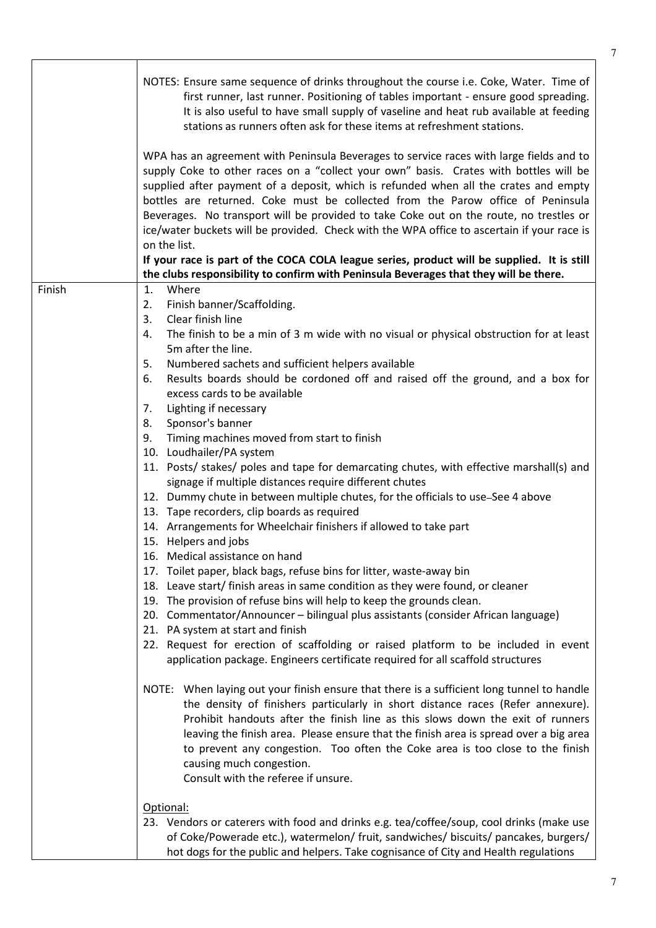|        | NOTES: Ensure same sequence of drinks throughout the course i.e. Coke, Water. Time of<br>first runner, last runner. Positioning of tables important - ensure good spreading.<br>It is also useful to have small supply of vaseline and heat rub available at feeding<br>stations as runners often ask for these items at refreshment stations.                                                                                                                                                                                                                                                                                                                                                                                                                                                                                                                                                                                                                                                                                                                                                                                                                                                                                                                                                                                                                                                                                                                                                                                                                                                                                                                                                                                                                                                                                                                                                                                                                                                            |
|--------|-----------------------------------------------------------------------------------------------------------------------------------------------------------------------------------------------------------------------------------------------------------------------------------------------------------------------------------------------------------------------------------------------------------------------------------------------------------------------------------------------------------------------------------------------------------------------------------------------------------------------------------------------------------------------------------------------------------------------------------------------------------------------------------------------------------------------------------------------------------------------------------------------------------------------------------------------------------------------------------------------------------------------------------------------------------------------------------------------------------------------------------------------------------------------------------------------------------------------------------------------------------------------------------------------------------------------------------------------------------------------------------------------------------------------------------------------------------------------------------------------------------------------------------------------------------------------------------------------------------------------------------------------------------------------------------------------------------------------------------------------------------------------------------------------------------------------------------------------------------------------------------------------------------------------------------------------------------------------------------------------------------|
|        | WPA has an agreement with Peninsula Beverages to service races with large fields and to<br>supply Coke to other races on a "collect your own" basis. Crates with bottles will be<br>supplied after payment of a deposit, which is refunded when all the crates and empty<br>bottles are returned. Coke must be collected from the Parow office of Peninsula<br>Beverages. No transport will be provided to take Coke out on the route, no trestles or<br>ice/water buckets will be provided. Check with the WPA office to ascertain if your race is<br>on the list.                                                                                                                                                                                                                                                                                                                                                                                                                                                                                                                                                                                                                                                                                                                                                                                                                                                                                                                                                                                                                                                                                                                                                                                                                                                                                                                                                                                                                                       |
|        | If your race is part of the COCA COLA league series, product will be supplied. It is still<br>the clubs responsibility to confirm with Peninsula Beverages that they will be there.                                                                                                                                                                                                                                                                                                                                                                                                                                                                                                                                                                                                                                                                                                                                                                                                                                                                                                                                                                                                                                                                                                                                                                                                                                                                                                                                                                                                                                                                                                                                                                                                                                                                                                                                                                                                                       |
| Finish | Where<br>1.<br>2.<br>Finish banner/Scaffolding.<br>Clear finish line<br>3.<br>The finish to be a min of 3 m wide with no visual or physical obstruction for at least<br>4.<br>5m after the line.<br>Numbered sachets and sufficient helpers available<br>5.<br>Results boards should be cordoned off and raised off the ground, and a box for<br>6.<br>excess cards to be available<br>Lighting if necessary<br>7.<br>Sponsor's banner<br>8.<br>Timing machines moved from start to finish<br>9.<br>10. Loudhailer/PA system<br>11. Posts/ stakes/ poles and tape for demarcating chutes, with effective marshall(s) and<br>signage if multiple distances require different chutes<br>12. Dummy chute in between multiple chutes, for the officials to use–See 4 above<br>13. Tape recorders, clip boards as required<br>14. Arrangements for Wheelchair finishers if allowed to take part<br>15. Helpers and jobs<br>16. Medical assistance on hand<br>17. Toilet paper, black bags, refuse bins for litter, waste-away bin<br>18. Leave start/ finish areas in same condition as they were found, or cleaner<br>19. The provision of refuse bins will help to keep the grounds clean.<br>20. Commentator/Announcer - bilingual plus assistants (consider African language)<br>21. PA system at start and finish<br>22. Request for erection of scaffolding or raised platform to be included in event<br>application package. Engineers certificate required for all scaffold structures<br>NOTE: When laying out your finish ensure that there is a sufficient long tunnel to handle<br>the density of finishers particularly in short distance races (Refer annexure).<br>Prohibit handouts after the finish line as this slows down the exit of runners<br>leaving the finish area. Please ensure that the finish area is spread over a big area<br>to prevent any congestion. Too often the Coke area is too close to the finish<br>causing much congestion.<br>Consult with the referee if unsure. |
|        | Optional:<br>23. Vendors or caterers with food and drinks e.g. tea/coffee/soup, cool drinks (make use<br>of Coke/Powerade etc.), watermelon/ fruit, sandwiches/ biscuits/ pancakes, burgers/<br>hot dogs for the public and helpers. Take cognisance of City and Health regulations                                                                                                                                                                                                                                                                                                                                                                                                                                                                                                                                                                                                                                                                                                                                                                                                                                                                                                                                                                                                                                                                                                                                                                                                                                                                                                                                                                                                                                                                                                                                                                                                                                                                                                                       |

 $\mathbf{I}$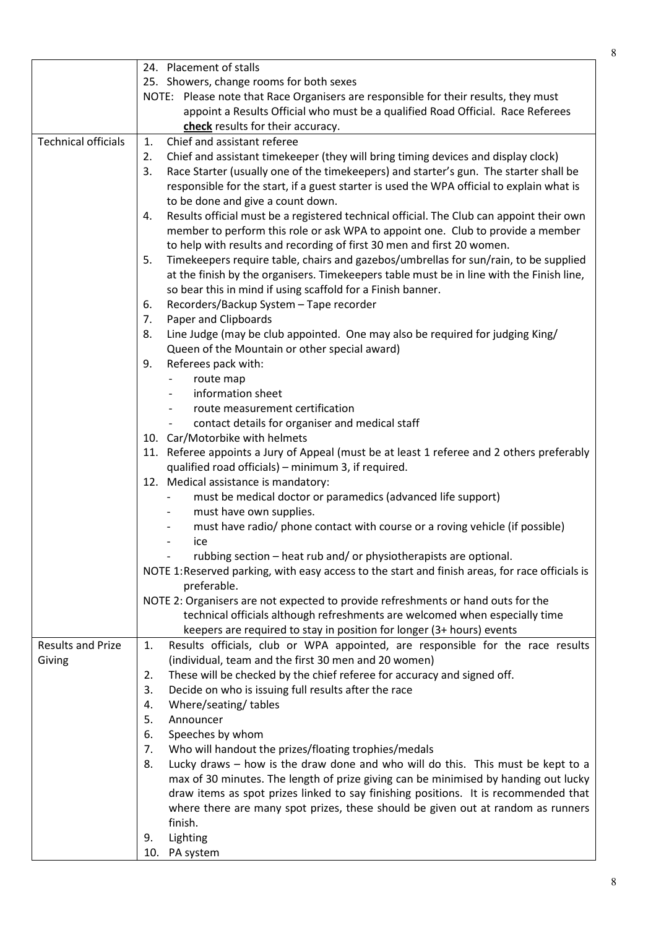|                            | 24. Placement of stalls                                                                         |
|----------------------------|-------------------------------------------------------------------------------------------------|
|                            | 25. Showers, change rooms for both sexes                                                        |
|                            | NOTE: Please note that Race Organisers are responsible for their results, they must             |
|                            | appoint a Results Official who must be a qualified Road Official. Race Referees                 |
|                            | check results for their accuracy.                                                               |
| <b>Technical officials</b> | Chief and assistant referee<br>1.                                                               |
|                            |                                                                                                 |
|                            | Chief and assistant timekeeper (they will bring timing devices and display clock)<br>2.         |
|                            | Race Starter (usually one of the timekeepers) and starter's gun. The starter shall be<br>3.     |
|                            | responsible for the start, if a guest starter is used the WPA official to explain what is       |
|                            | to be done and give a count down.                                                               |
|                            | Results official must be a registered technical official. The Club can appoint their own<br>4.  |
|                            | member to perform this role or ask WPA to appoint one. Club to provide a member                 |
|                            | to help with results and recording of first 30 men and first 20 women.                          |
|                            | Timekeepers require table, chairs and gazebos/umbrellas for sun/rain, to be supplied<br>5.      |
|                            | at the finish by the organisers. Timekeepers table must be in line with the Finish line,        |
|                            | so bear this in mind if using scaffold for a Finish banner.                                     |
|                            | Recorders/Backup System - Tape recorder<br>6.                                                   |
|                            | Paper and Clipboards<br>7.                                                                      |
|                            | Line Judge (may be club appointed. One may also be required for judging King/<br>8.             |
|                            | Queen of the Mountain or other special award)                                                   |
|                            | Referees pack with:<br>9.                                                                       |
|                            | route map                                                                                       |
|                            | information sheet                                                                               |
|                            | route measurement certification                                                                 |
|                            | contact details for organiser and medical staff                                                 |
|                            | 10. Car/Motorbike with helmets                                                                  |
|                            |                                                                                                 |
|                            | 11. Referee appoints a Jury of Appeal (must be at least 1 referee and 2 others preferably       |
|                            | qualified road officials) – minimum 3, if required.                                             |
|                            | 12. Medical assistance is mandatory:                                                            |
|                            | must be medical doctor or paramedics (advanced life support)                                    |
|                            | must have own supplies.                                                                         |
|                            | must have radio/ phone contact with course or a roving vehicle (if possible)                    |
|                            | ice                                                                                             |
|                            | rubbing section – heat rub and/ or physiotherapists are optional.                               |
|                            | NOTE 1: Reserved parking, with easy access to the start and finish areas, for race officials is |
|                            | preferable.                                                                                     |
|                            | NOTE 2: Organisers are not expected to provide refreshments or hand outs for the                |
|                            | technical officials although refreshments are welcomed when especially time                     |
|                            | keepers are required to stay in position for longer (3+ hours) events                           |
| <b>Results and Prize</b>   | Results officials, club or WPA appointed, are responsible for the race results<br>1.            |
| Giving                     | (individual, team and the first 30 men and 20 women)                                            |
|                            | These will be checked by the chief referee for accuracy and signed off.<br>2.                   |
|                            | Decide on who is issuing full results after the race<br>3.                                      |
|                            | Where/seating/tables<br>4.                                                                      |
|                            | 5.<br>Announcer                                                                                 |
|                            | Speeches by whom<br>6.                                                                          |
|                            | Who will handout the prizes/floating trophies/medals<br>7.                                      |
|                            | Lucky draws - how is the draw done and who will do this. This must be kept to a<br>8.           |
|                            | max of 30 minutes. The length of prize giving can be minimised by handing out lucky             |
|                            | draw items as spot prizes linked to say finishing positions. It is recommended that             |
|                            | where there are many spot prizes, these should be given out at random as runners                |
|                            | finish.                                                                                         |
|                            | Lighting<br>9.                                                                                  |
|                            | 10. PA system                                                                                   |
|                            |                                                                                                 |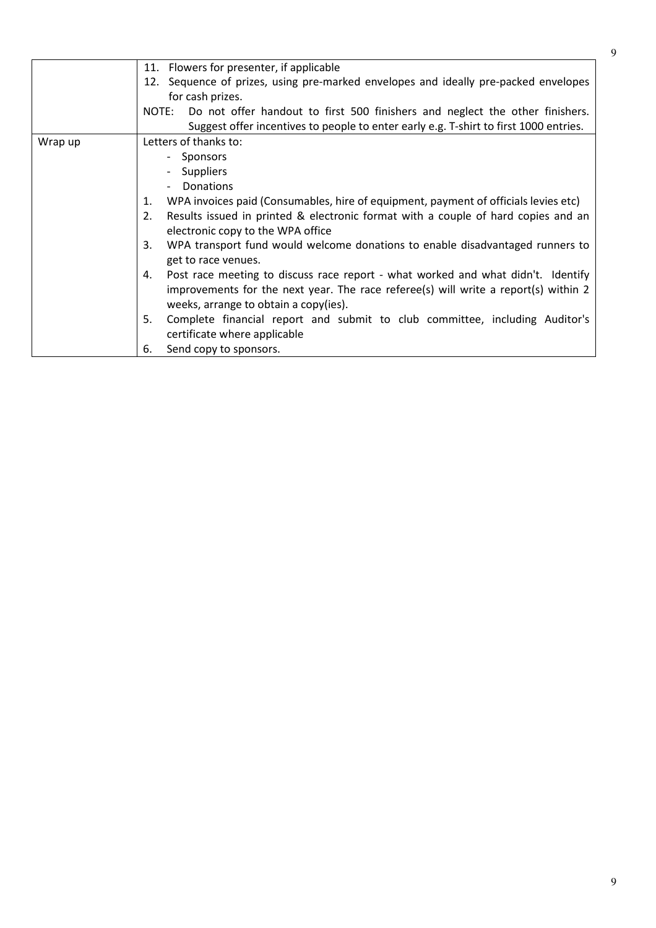|         | 11. Flowers for presenter, if applicable                                                                                                                                                                               |
|---------|------------------------------------------------------------------------------------------------------------------------------------------------------------------------------------------------------------------------|
|         | 12. Sequence of prizes, using pre-marked envelopes and ideally pre-packed envelopes                                                                                                                                    |
|         | for cash prizes.                                                                                                                                                                                                       |
|         | NOTE: Do not offer handout to first 500 finishers and neglect the other finishers.                                                                                                                                     |
|         | Suggest offer incentives to people to enter early e.g. T-shirt to first 1000 entries.                                                                                                                                  |
| Wrap up | Letters of thanks to:                                                                                                                                                                                                  |
|         | - Sponsors                                                                                                                                                                                                             |
|         | Suppliers                                                                                                                                                                                                              |
|         | Donations<br>$\overline{\phantom{0}}$                                                                                                                                                                                  |
|         | WPA invoices paid (Consumables, hire of equipment, payment of officials levies etc)<br>1.                                                                                                                              |
|         | Results issued in printed & electronic format with a couple of hard copies and an<br>2.<br>electronic copy to the WPA office                                                                                           |
|         | WPA transport fund would welcome donations to enable disadvantaged runners to<br>3.<br>get to race venues.                                                                                                             |
|         | Post race meeting to discuss race report - what worked and what didn't. Identify<br>4.<br>improvements for the next year. The race referee(s) will write a report(s) within 2<br>weeks, arrange to obtain a copy(ies). |
|         | Complete financial report and submit to club committee, including Auditor's<br>5.<br>certificate where applicable                                                                                                      |
|         | Send copy to sponsors.<br>6.                                                                                                                                                                                           |